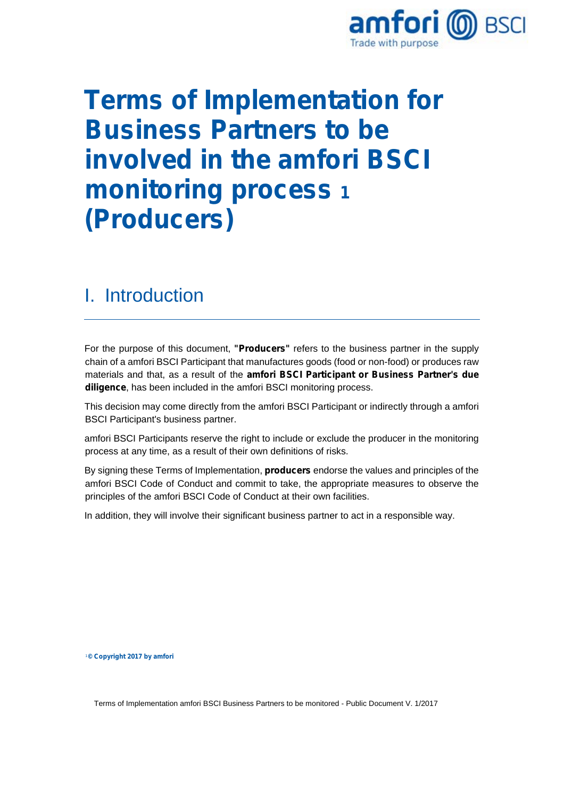

# **Terms of Implementation for Business Partners to be involved in the amfori BSCI monitoring process 1 (Producers)**

#### I. Introduction

For the purpose of this document, **"Producers"** refers to the business partner in the supply chain of a amfori BSCI Participant that manufactures goods (food or non-food) or produces raw materials and that, as a result of the **amfori BSCI Participant or Business Partner's due diligence**, has been included in the amfori BSCI monitoring process.

This decision may come directly from the amfori BSCI Participant or indirectly through a amfori BSCI Participant's business partner.

amfori BSCI Participants reserve the right to include or exclude the producer in the monitoring process at any time, as a result of their own definitions of risks.

By signing these Terms of Implementation, **producers** endorse the values and principles of the amfori BSCI Code of Conduct and commit to take, the appropriate measures to observe the principles of the amfori BSCI Code of Conduct at their own facilities.

In addition, they will involve their significant business partner to act in a responsible way.

<sup>1</sup>**© Copyright 2017 by amfori**

Terms of Implementation amfori BSCI Business Partners to be monitored - Public Document V. 1/2017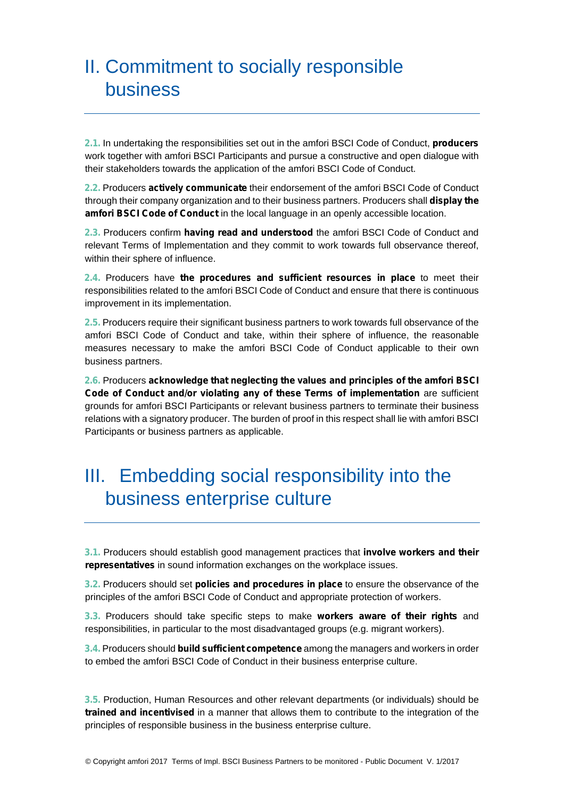# II. Commitment to socially responsible business

**2.1.** In undertaking the responsibilities set out in the amfori BSCI Code of Conduct, **producers** work together with amfori BSCI Participants and pursue a constructive and open dialogue with their stakeholders towards the application of the amfori BSCI Code of Conduct.

**2.2.** Producers **actively communicate** their endorsement of the amfori BSCI Code of Conduct through their company organization and to their business partners. Producers shall **display the amfori BSCI Code of Conduct** in the local language in an openly accessible location.

**2.3.** Producers confirm **having read and understood** the amfori BSCI Code of Conduct and relevant Terms of Implementation and they commit to work towards full observance thereof, within their sphere of influence.

**2.4.** Producers have **the procedures and sufficient resources in place** to meet their responsibilities related to the amfori BSCI Code of Conduct and ensure that there is continuous improvement in its implementation.

**2.5.** Producers require their significant business partners to work towards full observance of the amfori BSCI Code of Conduct and take, within their sphere of influence, the reasonable measures necessary to make the amfori BSCI Code of Conduct applicable to their own business partners.

**2.6.** Producers **acknowledge that neglecting the values and principles of the amfori BSCI Code of Conduct and/or violating any of these Terms of implementation** are sufficient grounds for amfori BSCI Participants or relevant business partners to terminate their business relations with a signatory producer. The burden of proof in this respect shall lie with amfori BSCI Participants or business partners as applicable.

# III. Embedding social responsibility into the business enterprise culture

**3.1.** Producers should establish good management practices that **involve workers and their representatives** in sound information exchanges on the workplace issues.

**3.2.** Producers should set **policies and procedures in place** to ensure the observance of the principles of the amfori BSCI Code of Conduct and appropriate protection of workers.

**3.3.** Producers should take specific steps to make **workers aware of their rights** and responsibilities, in particular to the most disadvantaged groups (e.g. migrant workers).

**3.4.** Producers should **build sufficient competence** among the managers and workers in order to embed the amfori BSCI Code of Conduct in their business enterprise culture.

**3.5.** Production, Human Resources and other relevant departments (or individuals) should be **trained and incentivised** in a manner that allows them to contribute to the integration of the principles of responsible business in the business enterprise culture.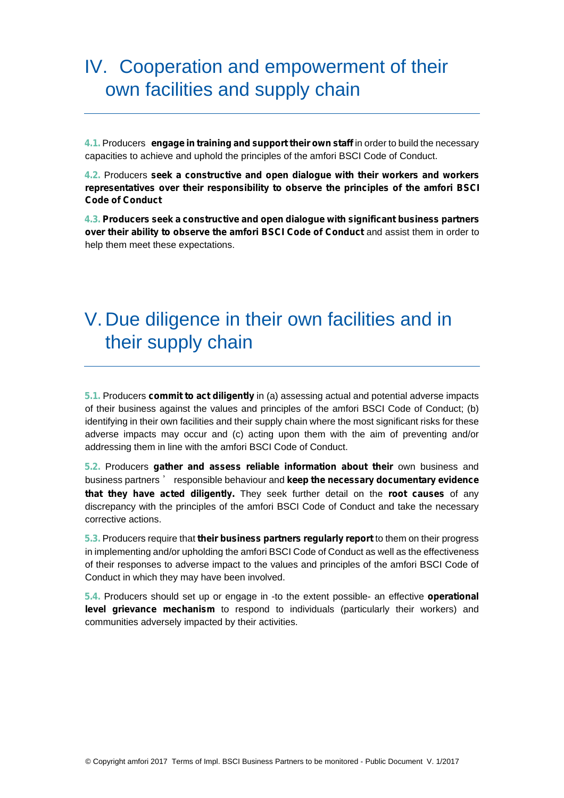### IV. Cooperation and empowerment of their own facilities and supply chain

**4.1.** Producers **engage in training and support their own staff** in order to build the necessary capacities to achieve and uphold the principles of the amfori BSCI Code of Conduct.

**4.2.** Producers **seek a constructive and open dialogue with their workers and workers representatives over their responsibility to observe the principles of the amfori BSCI Code of Conduct**

**4.3. Producers seek a constructive and open dialogue with significant business partners over their ability to observe the amfori BSCI Code of Conduct** and assist them in order to help them meet these expectations.

# V. Due diligence in their own facilities and in their supply chain

**5.1.** Producers **commit to act diligently** in (a) assessing actual and potential adverse impacts of their business against the values and principles of the amfori BSCI Code of Conduct; (b) identifying in their own facilities and their supply chain where the most significant risks for these adverse impacts may occur and (c) acting upon them with the aim of preventing and/or addressing them in line with the amfori BSCI Code of Conduct.

**5.2.** Producers **gather and assess reliable information about their** own business and business partners ' responsible behaviour and **keep the necessary documentary evidence that they have acted diligently.** They seek further detail on the **root causes** of any discrepancy with the principles of the amfori BSCI Code of Conduct and take the necessary corrective actions.

**5.3.** Producers require that **their business partners regularly report** to them on their progress in implementing and/or upholding the amfori BSCI Code of Conduct as well as the effectiveness of their responses to adverse impact to the values and principles of the amfori BSCI Code of Conduct in which they may have been involved.

**5.4.** Producers should set up or engage in -to the extent possible- an effective **operational level grievance mechanism** to respond to individuals (particularly their workers) and communities adversely impacted by their activities.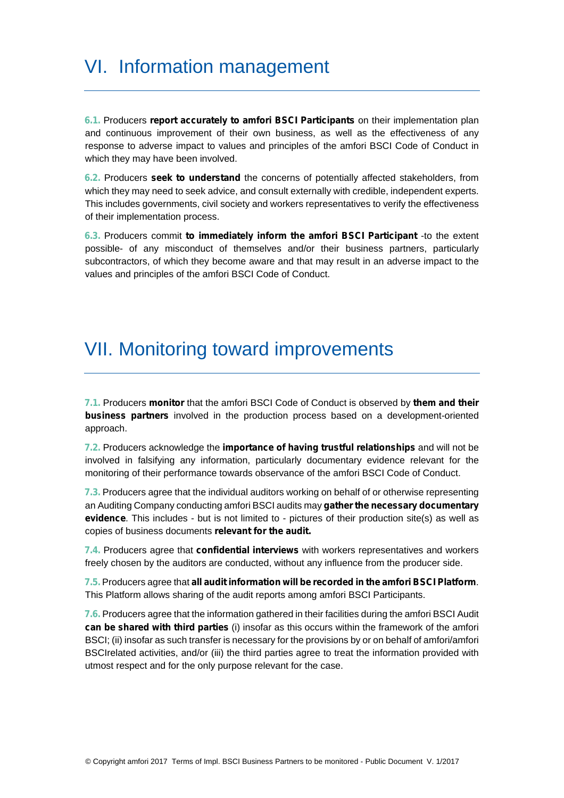# VI. Information management

**6.1.** Producers **report accurately to amfori BSCI Participants** on their implementation plan and continuous improvement of their own business, as well as the effectiveness of any response to adverse impact to values and principles of the amfori BSCI Code of Conduct in which they may have been involved.

**6.2.** Producers **seek to understand** the concerns of potentially affected stakeholders, from which they may need to seek advice, and consult externally with credible, independent experts. This includes governments, civil society and workers representatives to verify the effectiveness of their implementation process.

**6.3.** Producers commit **to immediately inform the amfori BSCI Participant** -to the extent possible- of any misconduct of themselves and/or their business partners, particularly subcontractors, of which they become aware and that may result in an adverse impact to the values and principles of the amfori BSCI Code of Conduct.

#### VII. Monitoring toward improvements

**7.1.** Producers **monitor** that the amfori BSCI Code of Conduct is observed by **them and their business partners** involved in the production process based on a development-oriented approach.

**7.2.** Producers acknowledge the **importance of having trustful relationships** and will not be involved in falsifying any information, particularly documentary evidence relevant for the monitoring of their performance towards observance of the amfori BSCI Code of Conduct.

**7.3.** Producers agree that the individual auditors working on behalf of or otherwise representing an Auditing Company conducting amfori BSCI audits may **gather the necessary documentary evidence**. This includes - but is not limited to - pictures of their production site(s) as well as copies of business documents **relevant for the audit.**

**7.4.** Producers agree that **confidential interviews** with workers representatives and workers freely chosen by the auditors are conducted, without any influence from the producer side.

**7.5.** Producers agree that **all audit information will be recorded in the amfori BSCI Platform**. This Platform allows sharing of the audit reports among amfori BSCI Participants.

**7.6.** Producers agree that the information gathered in their facilities during the amfori BSCI Audit **can be shared with third parties** (i) insofar as this occurs within the framework of the amfori BSCI; (ii) insofar as such transfer is necessary for the provisions by or on behalf of amfori/amfori BSCIrelated activities, and/or (iii) the third parties agree to treat the information provided with utmost respect and for the only purpose relevant for the case.